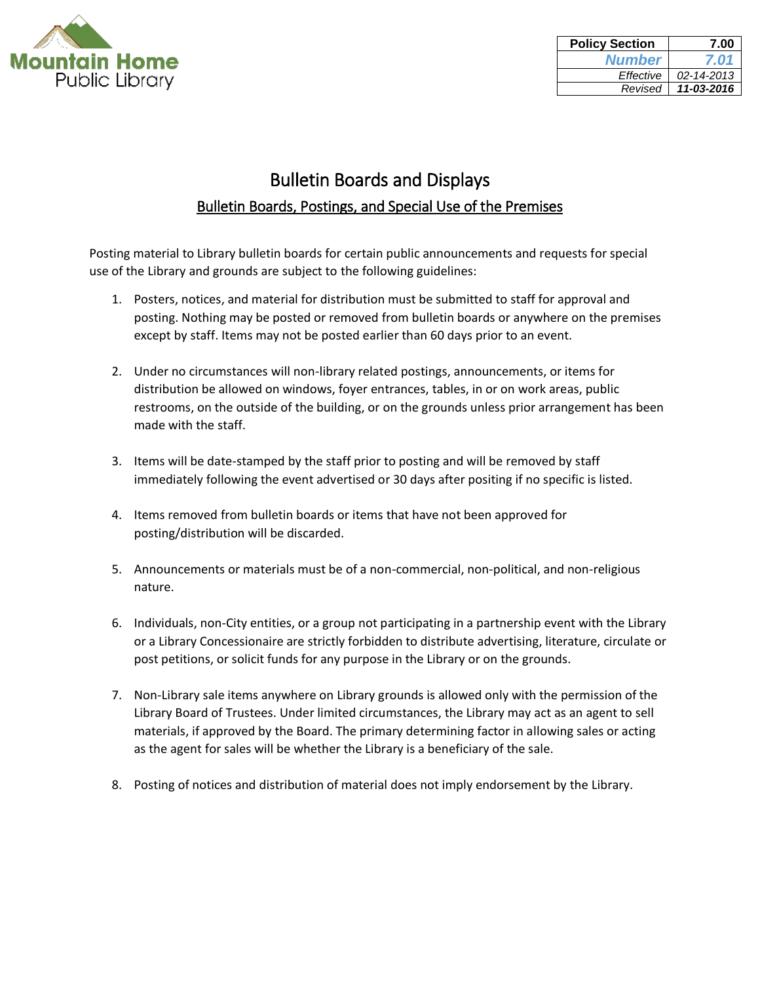

| <b>Policy Section</b> | 7.00       |
|-----------------------|------------|
| <b>Number</b>         | 7.01       |
| Effective             | 02-14-2013 |
| Revised               | 11-03-2016 |

## Bulletin Boards and Displays Bulletin Boards, Postings, and Special Use of the Premises

Posting material to Library bulletin boards for certain public announcements and requests for special use of the Library and grounds are subject to the following guidelines:

- 1. Posters, notices, and material for distribution must be submitted to staff for approval and posting. Nothing may be posted or removed from bulletin boards or anywhere on the premises except by staff. Items may not be posted earlier than 60 days prior to an event.
- 2. Under no circumstances will non-library related postings, announcements, or items for distribution be allowed on windows, foyer entrances, tables, in or on work areas, public restrooms, on the outside of the building, or on the grounds unless prior arrangement has been made with the staff.
- 3. Items will be date-stamped by the staff prior to posting and will be removed by staff immediately following the event advertised or 30 days after positing if no specific is listed.
- 4. Items removed from bulletin boards or items that have not been approved for posting/distribution will be discarded.
- 5. Announcements or materials must be of a non-commercial, non-political, and non-religious nature.
- 6. Individuals, non-City entities, or a group not participating in a partnership event with the Library or a Library Concessionaire are strictly forbidden to distribute advertising, literature, circulate or post petitions, or solicit funds for any purpose in the Library or on the grounds.
- 7. Non-Library sale items anywhere on Library grounds is allowed only with the permission of the Library Board of Trustees. Under limited circumstances, the Library may act as an agent to sell materials, if approved by the Board. The primary determining factor in allowing sales or acting as the agent for sales will be whether the Library is a beneficiary of the sale.
- 8. Posting of notices and distribution of material does not imply endorsement by the Library.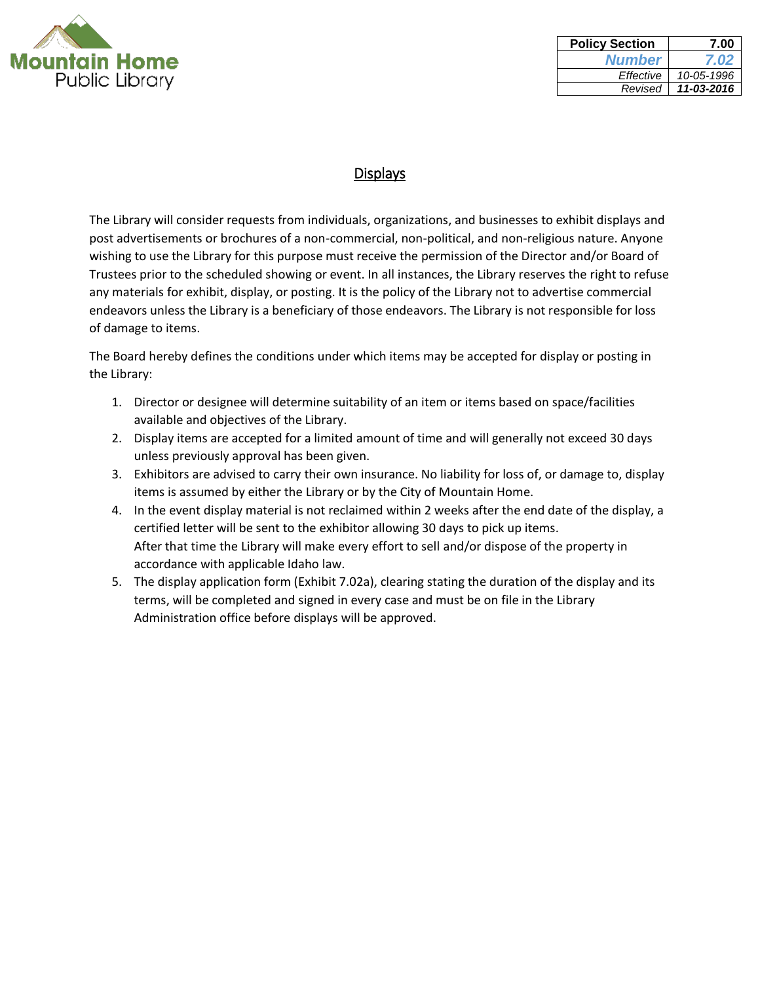

| <b>Policy Section</b> | 7.00       |
|-----------------------|------------|
| <b>Number</b>         | 7.02       |
| Effective             | 10-05-1996 |
| Revised               | 11-03-2016 |

## **Displays**

The Library will consider requests from individuals, organizations, and businesses to exhibit displays and post advertisements or brochures of a non-commercial, non-political, and non-religious nature. Anyone wishing to use the Library for this purpose must receive the permission of the Director and/or Board of Trustees prior to the scheduled showing or event. In all instances, the Library reserves the right to refuse any materials for exhibit, display, or posting. It is the policy of the Library not to advertise commercial endeavors unless the Library is a beneficiary of those endeavors. The Library is not responsible for loss of damage to items.

The Board hereby defines the conditions under which items may be accepted for display or posting in the Library:

- 1. Director or designee will determine suitability of an item or items based on space/facilities available and objectives of the Library.
- 2. Display items are accepted for a limited amount of time and will generally not exceed 30 days unless previously approval has been given.
- 3. Exhibitors are advised to carry their own insurance. No liability for loss of, or damage to, display items is assumed by either the Library or by the City of Mountain Home.
- 4. In the event display material is not reclaimed within 2 weeks after the end date of the display, a certified letter will be sent to the exhibitor allowing 30 days to pick up items. After that time the Library will make every effort to sell and/or dispose of the property in accordance with applicable Idaho law.
- 5. The display application form (Exhibit 7.02a), clearing stating the duration of the display and its terms, will be completed and signed in every case and must be on file in the Library Administration office before displays will be approved.